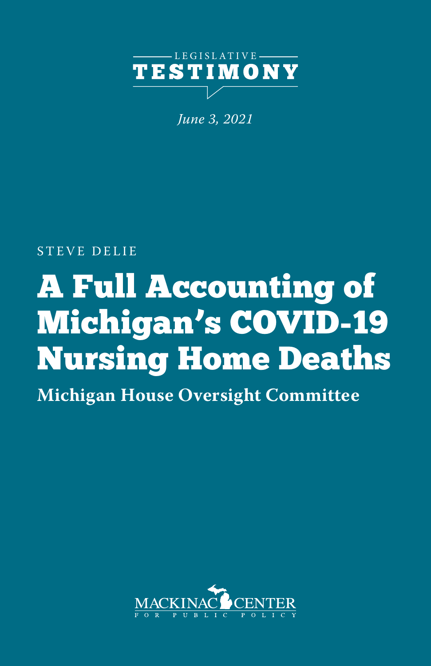

*June 3, 2021*

STEVE DELIE

## A Full Accounting of Michigan's COVID-19 Nursing Home Deaths

**Michigan House Oversight Committee**

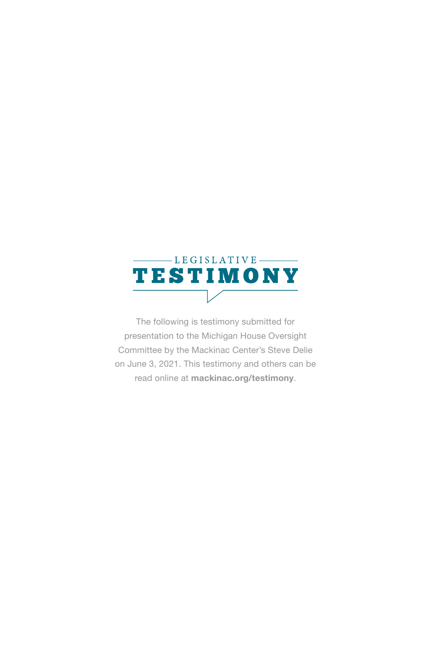

The following is testimony submitted for presentation to the Michigan House Oversight Committee by the Mackinac Center's Steve Delie on June 3, 2021. This testimony and others can be read online at **mackinac.org/testimony**.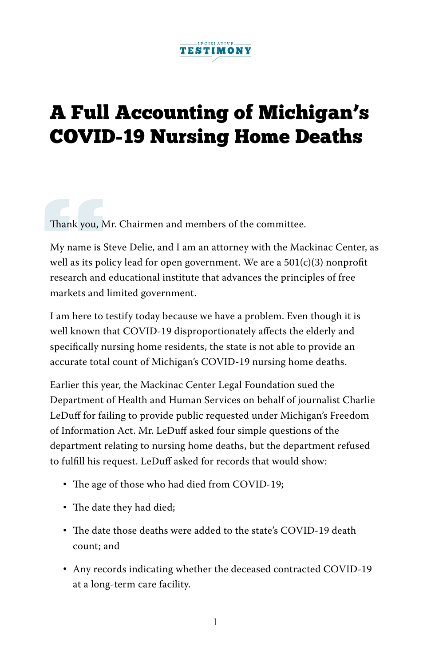

## A Full Accounting of Michigan's COVID-19 Nursing Home Deaths

Thank you, Mr. Chairmen and members of the committee.

My name is Steve Delie, and I am an attorney with the Mackinac Center, as well as its policy lead for open government. We are a  $501(c)(3)$  nonprofit research and educational institute that advances the principles of free markets and limited government.

I am here to testify today because we have a problem. Even though it is well known that COVID-19 disproportionately affects the elderly and specifically nursing home residents, the state is not able to provide an accurate total count of Michigan's COVID-19 nursing home deaths.

Earlier this year, the Mackinac Center Legal Foundation sued the Department of Health and Human Services on behalf of journalist Charlie LeDuff for failing to provide public requested under Michigan's Freedom of Information Act. Mr. LeDuff asked four simple questions of the department relating to nursing home deaths, but the department refused to fulfill his request. LeDuff asked for records that would show:

- The age of those who had died from COVID-19;
- The date they had died;
- The date those deaths were added to the state's COVID-19 death count; and
- Any records indicating whether the deceased contracted COVID-19 at a long-term care facility.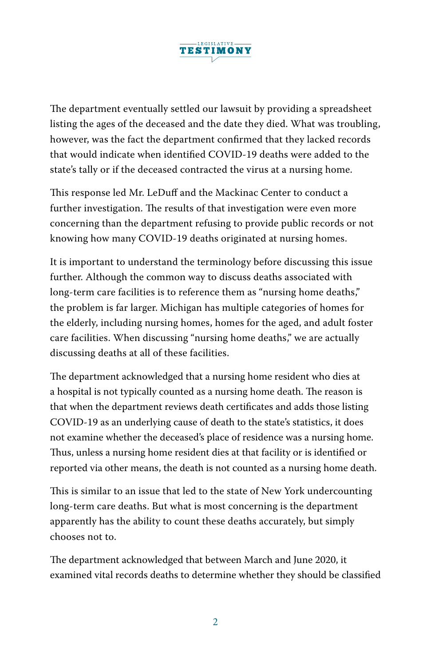

The department eventually settled our lawsuit by providing a spreadsheet listing the ages of the deceased and the date they died. What was troubling, however, was the fact the department confirmed that they lacked records that would indicate when identified COVID-19 deaths were added to the state's tally or if the deceased contracted the virus at a nursing home.

This response led Mr. LeDuff and the Mackinac Center to conduct a further investigation. The results of that investigation were even more concerning than the department refusing to provide public records or not knowing how many COVID-19 deaths originated at nursing homes.

It is important to understand the terminology before discussing this issue further. Although the common way to discuss deaths associated with long-term care facilities is to reference them as "nursing home deaths," the problem is far larger. Michigan has multiple categories of homes for the elderly, including nursing homes, homes for the aged, and adult foster care facilities. When discussing "nursing home deaths," we are actually discussing deaths at all of these facilities.

The department acknowledged that a nursing home resident who dies at a hospital is not typically counted as a nursing home death. The reason is that when the department reviews death certificates and adds those listing COVID-19 as an underlying cause of death to the state's statistics, it does not examine whether the deceased's place of residence was a nursing home. Thus, unless a nursing home resident dies at that facility or is identified or reported via other means, the death is not counted as a nursing home death.

This is similar to an issue that led to the state of New York undercounting long-term care deaths. But what is most concerning is the department apparently has the ability to count these deaths accurately, but simply chooses not to.

The department acknowledged that between March and June 2020, it examined vital records deaths to determine whether they should be classified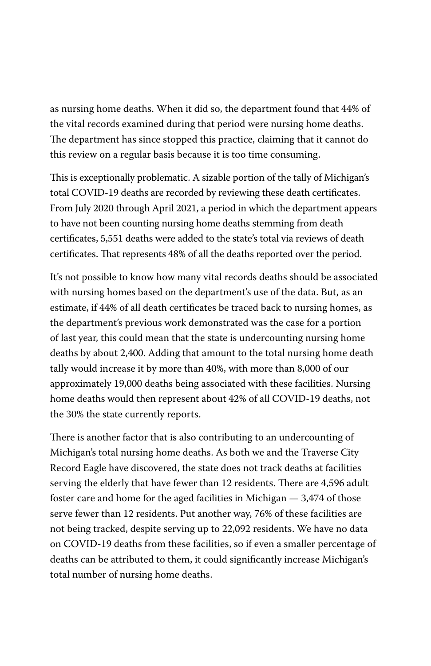as nursing home deaths. When it did so, the department found that 44% of the vital records examined during that period were nursing home deaths. The department has since stopped this practice, claiming that it cannot do this review on a regular basis because it is too time consuming.

This is exceptionally problematic. A sizable portion of the tally of Michigan's total COVID-19 deaths are recorded by reviewing these death certificates. From July 2020 through April 2021, a period in which the department appears to have not been counting nursing home deaths stemming from death certificates, 5,551 deaths were added to the state's total via reviews of death certificates. That represents 48% of all the deaths reported over the period.

It's not possible to know how many vital records deaths should be associated with nursing homes based on the department's use of the data. But, as an estimate, if 44% of all death certificates be traced back to nursing homes, as the department's previous work demonstrated was the case for a portion of last year, this could mean that the state is undercounting nursing home deaths by about 2,400. Adding that amount to the total nursing home death tally would increase it by more than 40%, with more than 8,000 of our approximately 19,000 deaths being associated with these facilities. Nursing home deaths would then represent about 42% of all COVID-19 deaths, not the 30% the state currently reports.

There is another factor that is also contributing to an undercounting of Michigan's total nursing home deaths. As both we and the Traverse City Record Eagle have discovered, the state does not track deaths at facilities serving the elderly that have fewer than 12 residents. There are 4,596 adult foster care and home for the aged facilities in Michigan — 3,474 of those serve fewer than 12 residents. Put another way, 76% of these facilities are not being tracked, despite serving up to 22,092 residents. We have no data on COVID-19 deaths from these facilities, so if even a smaller percentage of deaths can be attributed to them, it could significantly increase Michigan's total number of nursing home deaths.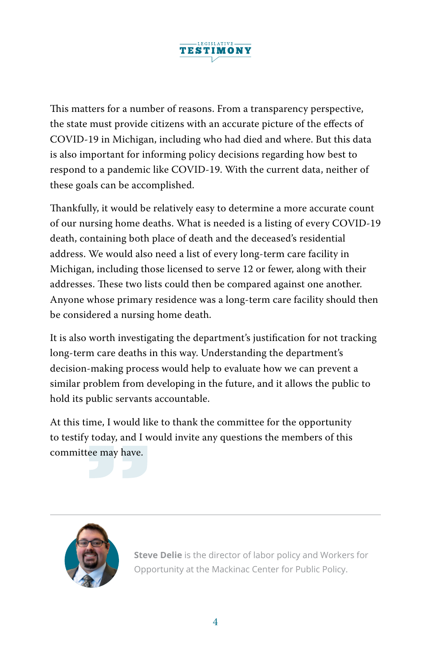

This matters for a number of reasons. From a transparency perspective, the state must provide citizens with an accurate picture of the effects of COVID-19 in Michigan, including who had died and where. But this data is also important for informing policy decisions regarding how best to respond to a pandemic like COVID-19. With the current data, neither of these goals can be accomplished.

Thankfully, it would be relatively easy to determine a more accurate count of our nursing home deaths. What is needed is a listing of every COVID-19 death, containing both place of death and the deceased's residential address. We would also need a list of every long-term care facility in Michigan, including those licensed to serve 12 or fewer, along with their addresses. These two lists could then be compared against one another. Anyone whose primary residence was a long-term care facility should then be considered a nursing home death.

It is also worth investigating the department's justification for not tracking long-term care deaths in this way. Understanding the department's decision-making process would help to evaluate how we can prevent a similar problem from developing in the future, and it allows the public to hold its public servants accountable.

At this time, I would like to thank the committee for the opportunity to testify today, and I would invite any questions the members of this committee may have.



**Steve Delie** is the director of labor policy and Workers for Opportunity at the Mackinac Center for Public Policy.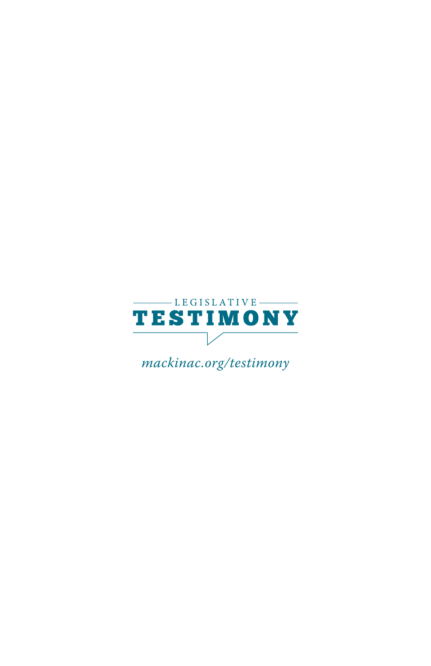

*mackinac.org/testimony*